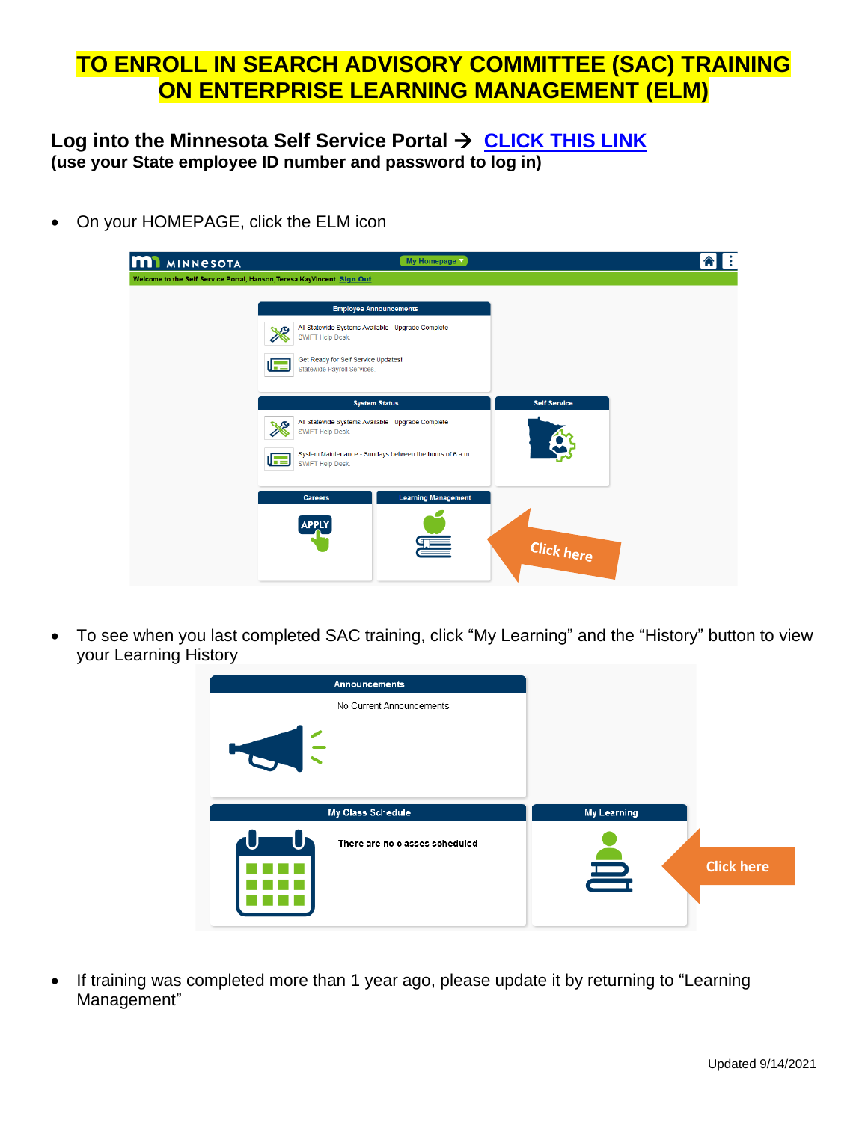## **TO ENROLL IN SEARCH ADVISORY COMMITTEE (SAC) TRAINING ON ENTERPRISE LEARNING MANAGEMENT (ELM)**

## **Log into the Minnesota Self Service Portal** → **[CLICK THIS LINK](https://hub.selfservice.systems.state.mn.us/psp/hubss/SELFSERVICE/ENTP/?cmd=logout) (use your State employee ID number and password to log in)**

• On your HOMEPAGE, click the ELM icon

| <b>MI</b> MINNESOTA                                                     | My Homepage                                                                       | l :<br>A                   |                     |  |
|-------------------------------------------------------------------------|-----------------------------------------------------------------------------------|----------------------------|---------------------|--|
| Welcome to the Self Service Portal, Hanson, Teresa KayVincent. Sign Out |                                                                                   |                            |                     |  |
|                                                                         | <b>Employee Announcements</b>                                                     |                            |                     |  |
|                                                                         | All Statewide Systems Available - Upgrade Complete<br>S<br>SWIFT Help Desk.       |                            |                     |  |
|                                                                         | Get Ready for Self Service Updates!<br>l Fel<br>Statewide Payroll Services.       |                            |                     |  |
|                                                                         | <b>System Status</b>                                                              |                            | <b>Self Service</b> |  |
|                                                                         | All Statewide Systems Available - Upgrade Complete<br>S<br>SWIFT Help Desk.       |                            |                     |  |
|                                                                         | System Maintenance - Sundays between the hours of 6 a.m.<br>匠<br>SWIFT Help Desk. |                            |                     |  |
|                                                                         | <b>Careers</b>                                                                    | <b>Learning Management</b> |                     |  |
|                                                                         | <b>APPLY</b>                                                                      |                            |                     |  |
|                                                                         |                                                                                   |                            | Click here          |  |

• To see when you last completed SAC training, click "My Learning" and the "History" button to view your Learning History

| <b>Announcements</b>           |                               |
|--------------------------------|-------------------------------|
| No Current Announcements       |                               |
| HOL                            |                               |
| My Class Schedule              | <b>My Learning</b>            |
| There are no classes scheduled | <u> </u><br><b>Click here</b> |
|                                |                               |

• If training was completed more than 1 year ago, please update it by returning to "Learning Management"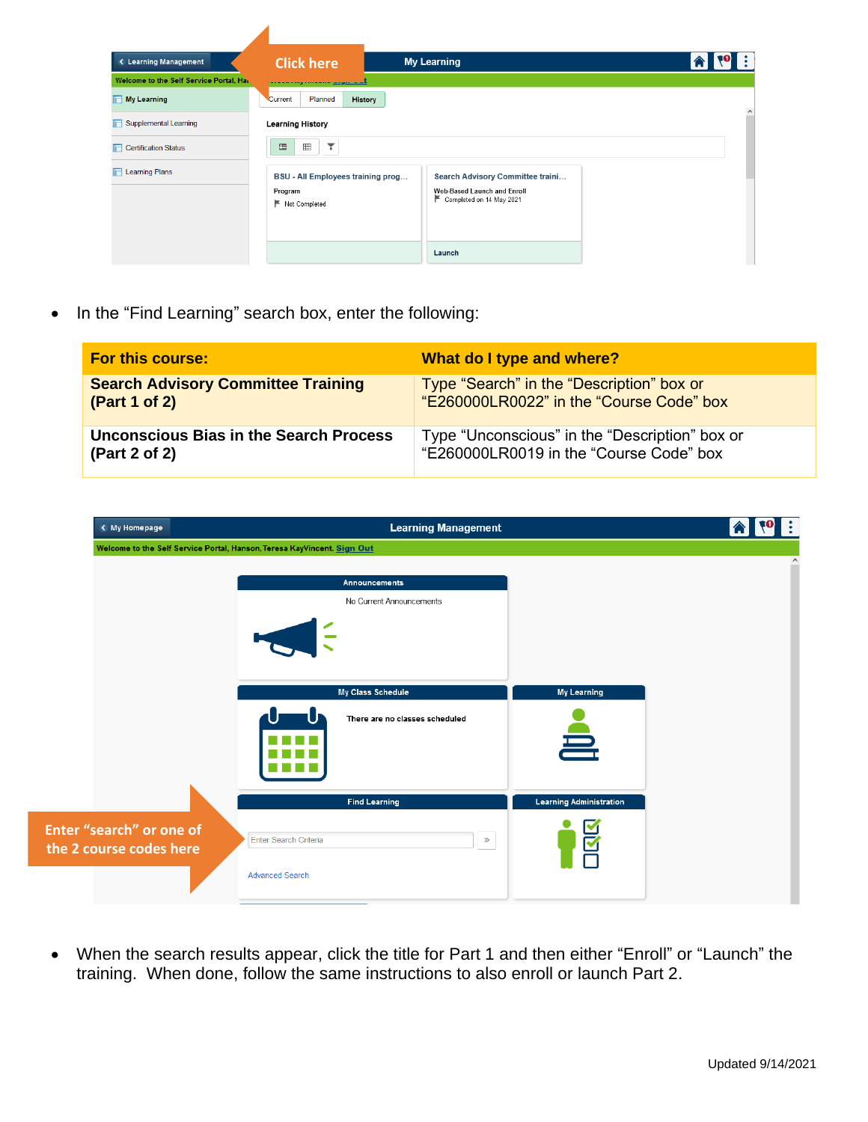| <b>&lt; Learning Management</b>         | <b>Click here</b>                                               | <b>My Learning</b>                                                                            | $\mathbf{A}$ $\mathbf{v}$<br>l : |
|-----------------------------------------|-----------------------------------------------------------------|-----------------------------------------------------------------------------------------------|----------------------------------|
| Welcome to the Self Service Portal, Ha. | <b>CONSTRUCTION</b>                                             |                                                                                               |                                  |
| My Learning                             | Planned<br>History<br>Current                                   |                                                                                               | $\wedge$                         |
| Supplemental Learning                   | <b>Learning History</b>                                         |                                                                                               |                                  |
| <b>T</b> Certification Status           | Y<br>田<br>国                                                     |                                                                                               |                                  |
| <b>T</b> Learning Plans                 | BSU - All Employees training prog<br>Program<br>E Not Completed | Search Advisory Committee traini<br>Web-Based Launch and Enroll<br>E Completed on 14 May 2021 |                                  |
|                                         |                                                                 | Launch                                                                                        |                                  |

• In the "Find Learning" search box, enter the following:

 $\overline{\phantom{a}}$ 

| <b>For this course:</b>                   | What do I type and where?                      |
|-------------------------------------------|------------------------------------------------|
| <b>Search Advisory Committee Training</b> | Type "Search" in the "Description" box or      |
| (Part 1 of 2)                             | "E260000LR0022" in the "Course Code" box       |
| Unconscious Bias in the Search Process    | Type "Unconscious" in the "Description" box or |
| (Part 2 of 2)                             | "E260000LR0019 in the "Course Code" box        |

| < My Homepage                                       | <b>Learning Management</b>                                              |                                |  |
|-----------------------------------------------------|-------------------------------------------------------------------------|--------------------------------|--|
|                                                     | Welcome to the Self Service Portal, Hanson, Teresa KayVincent. Sign Out |                                |  |
|                                                     | Announcements                                                           |                                |  |
|                                                     | No Current Announcements                                                |                                |  |
|                                                     |                                                                         |                                |  |
|                                                     | My Class Schedule                                                       | <b>My Learning</b>             |  |
|                                                     | There are no classes scheduled                                          | 喜                              |  |
|                                                     | <b>Find Learning</b>                                                    | <b>Learning Administration</b> |  |
| Enter "search" or one of<br>the 2 course codes here | Enter Search Criteria<br>$\gg$                                          | ⊠                              |  |
|                                                     | <b>Advanced Search</b>                                                  |                                |  |

• When the search results appear, click the title for Part 1 and then either "Enroll" or "Launch" the training. When done, follow the same instructions to also enroll or launch Part 2.